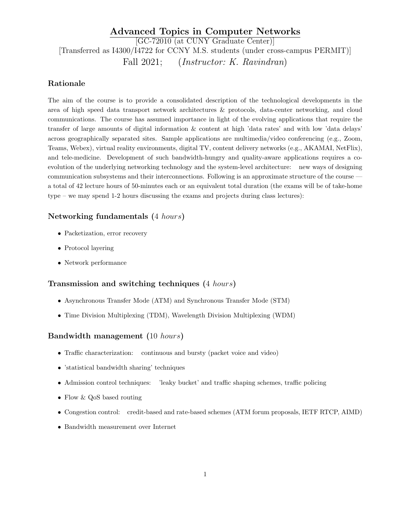# Advanced Topics in Computer Networks [GC-72010 (at CUNY Graduate Center)] [Transferred as I4300/I4722 for CCNY M.S. students (under cross-campus PERMIT)] Fall 2021; (*Instructor: K. Ravindran*)

# Rationale

The aim of the course is to provide a consolidated description of the technological developments in the area of high speed data transport network architectures & protocols, data-center networking, and cloud communications. The course has assumed importance in light of the evolving applications that require the transfer of large amounts of digital information & content at high 'data rates' and with low 'data delays' across geographically separated sites. Sample applications are multimedia/video conferencing (e.g., Zoom, Teams, Webex), virtual reality environments, digital TV, content delivery networks (e.g., AKAMAI, NetFlix), and tele-medicine. Development of such bandwidth-hungry and quality-aware applications requires a coevolution of the underlying networking technology and the system-level architecture: new ways of designing communication subsystems and their interconnections. Following is an approximate structure of the course a total of 42 lecture hours of 50-minutes each or an equivalent total duration (the exams will be of take-home type – we may spend 1-2 hours discussing the exams and projects during class lectures):

# Networking fundamentals (4 hours)

- Packetization, error recovery
- Protocol layering
- Network performance

### Transmission and switching techniques (4 hours)

- Asynchronous Transfer Mode (ATM) and Synchronous Transfer Mode (STM)
- Time Division Multiplexing (TDM), Wavelength Division Multiplexing (WDM)

# Bandwidth management (10 hours)

- Traffic characterization: continuous and bursty (packet voice and video)
- 'statistical bandwidth sharing' techniques
- Admission control techniques: 'leaky bucket' and traffic shaping schemes, traffic policing
- Flow & QoS based routing
- Congestion control: credit-based and rate-based schemes (ATM forum proposals, IETF RTCP, AIMD)
- Bandwidth measurement over Internet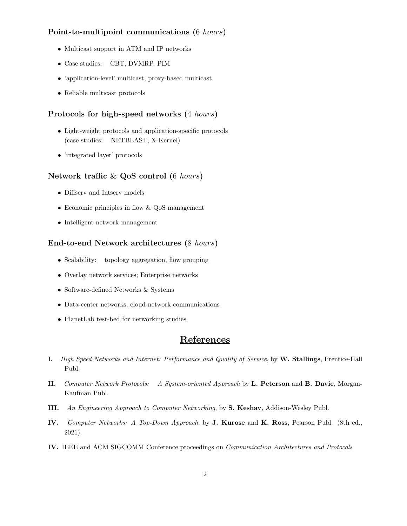# Point-to-multipoint communications (6 hours)

- Multicast support in ATM and IP networks
- Case studies: CBT, DVMRP, PIM
- 'application-level' multicast, proxy-based multicast
- Reliable multicast protocols

#### Protocols for high-speed networks (4 hours)

- Light-weight protocols and application-specific protocols (case studies: NETBLAST, X-Kernel)
- 'integrated layer' protocols

### Network traffic & QoS control (6 hours)

- Diffserv and Intserv models
- Economic principles in flow & QoS management
- Intelligent network management

#### End-to-end Network architectures (8 hours)

- Scalability: topology aggregation, flow grouping
- Overlay network services; Enterprise networks
- Software-defined Networks & Systems
- Data-center networks; cloud-network communications
- PlanetLab test-bed for networking studies

# References

- I. High Speed Networks and Internet: Performance and Quality of Service, by W. Stallings, Prentice-Hall Publ.
- II. Computer Network Protocols: A System-oriented Approach by L. Peterson and B. Davie, Morgan-Kaufman Publ.
- III. An Engineering Approach to Computer Networking, by S. Keshav, Addison-Wesley Publ.
- IV. Computer Networks: A Top-Down Approach, by J. Kurose and K. Ross, Pearson Publ. (8th ed., 2021).
- IV. IEEE and ACM SIGCOMM Conference proceedings on Communication Architectures and Protocols